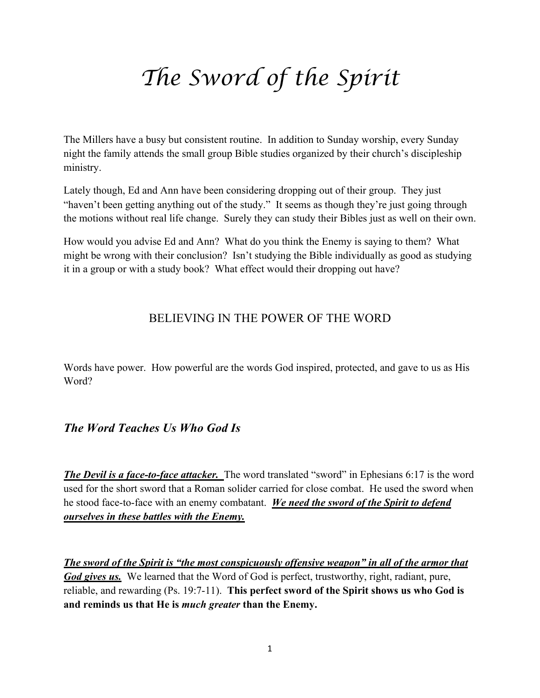# *The Sword of the Spirit*

The Millers have a busy but consistent routine. In addition to Sunday worship, every Sunday night the family attends the small group Bible studies organized by their church's discipleship ministry.

Lately though, Ed and Ann have been considering dropping out of their group. They just "haven't been getting anything out of the study." It seems as though they're just going through the motions without real life change. Surely they can study their Bibles just as well on their own.

How would you advise Ed and Ann? What do you think the Enemy is saying to them? What might be wrong with their conclusion? Isn't studying the Bible individually as good as studying it in a group or with a study book? What effect would their dropping out have?

#### BELIEVING IN THE POWER OF THE WORD

Words have power. How powerful are the words God inspired, protected, and gave to us as His Word?

## *The Word Teaches Us Who God Is*

*The Devil is a face-to-face attacker.* The word translated "sword" in Ephesians 6:17 is the word used for the short sword that a Roman solider carried for close combat. He used the sword when he stood face-to-face with an enemy combatant. *We need the sword of the Spirit to defend ourselves in these battles with the Enemy.*

*The sword of the Spirit is "the most conspicuously offensive weapon" in all of the armor that God gives us.* We learned that the Word of God is perfect, trustworthy, right, radiant, pure, reliable, and rewarding (Ps. 19:7-11). **This perfect sword of the Spirit shows us who God is and reminds us that He is** *much greater* **than the Enemy.**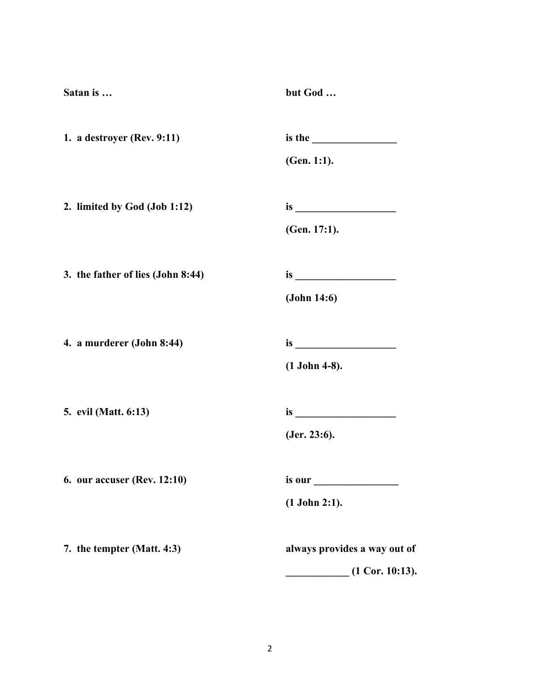| but God                      |
|------------------------------|
|                              |
| (Gen. 1:1).                  |
|                              |
| (Gen. 17:1).                 |
|                              |
| (John 14:6)                  |
|                              |
| $(1$ John 4-8).              |
|                              |
| (Jer. 23:6).                 |
| is our                       |
| $(1$ John 2:1).              |
| always provides a way out of |
| $(1$ Cor. 10:13).            |
|                              |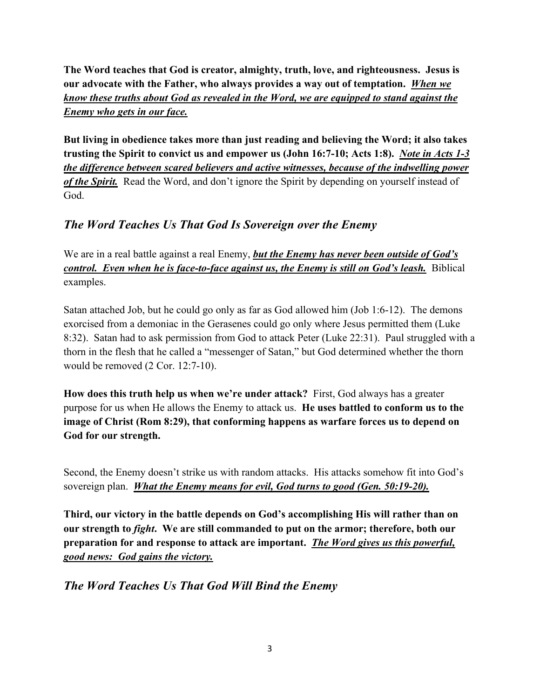**The Word teaches that God is creator, almighty, truth, love, and righteousness. Jesus is our advocate with the Father, who always provides a way out of temptation.** *When we know these truths about God as revealed in the Word, we are equipped to stand against the Enemy who gets in our face.*

**But living in obedience takes more than just reading and believing the Word; it also takes trusting the Spirit to convict us and empower us (John 16:7-10; Acts 1:8).** *Note in Acts 1-3 the difference between scared believers and active witnesses, because of the indwelling power of the Spirit.* Read the Word, and don't ignore the Spirit by depending on yourself instead of God.

## *The Word Teaches Us That God Is Sovereign over the Enemy*

We are in a real battle against a real Enemy, *but the Enemy has never been outside of God's control. Even when he is face-to-face against us, the Enemy is still on God's leash.* Biblical examples.

Satan attached Job, but he could go only as far as God allowed him (Job 1:6-12). The demons exorcised from a demoniac in the Gerasenes could go only where Jesus permitted them (Luke 8:32). Satan had to ask permission from God to attack Peter (Luke 22:31). Paul struggled with a thorn in the flesh that he called a "messenger of Satan," but God determined whether the thorn would be removed (2 Cor. 12:7-10).

**How does this truth help us when we're under attack?** First, God always has a greater purpose for us when He allows the Enemy to attack us. **He uses battled to conform us to the image of Christ (Rom 8:29), that conforming happens as warfare forces us to depend on God for our strength.**

Second, the Enemy doesn't strike us with random attacks. His attacks somehow fit into God's sovereign plan. *What the Enemy means for evil, God turns to good (Gen. 50:19-20).*

**Third, our victory in the battle depends on God's accomplishing His will rather than on our strength to** *fight***. We are still commanded to put on the armor; therefore, both our preparation for and response to attack are important.** *The Word gives us this powerful, good news: God gains the victory.*

*The Word Teaches Us That God Will Bind the Enemy*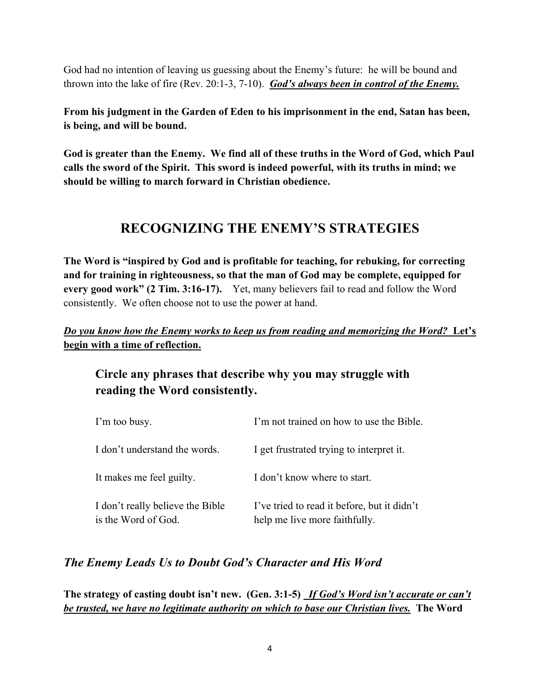God had no intention of leaving us guessing about the Enemy's future: he will be bound and thrown into the lake of fire (Rev. 20:1-3, 7-10). *God's always been in control of the Enemy.* 

**From his judgment in the Garden of Eden to his imprisonment in the end, Satan has been, is being, and will be bound.**

**God is greater than the Enemy. We find all of these truths in the Word of God, which Paul calls the sword of the Spirit. This sword is indeed powerful, with its truths in mind; we should be willing to march forward in Christian obedience.** 

# **RECOGNIZING THE ENEMY'S STRATEGIES**

**The Word is "inspired by God and is profitable for teaching, for rebuking, for correcting and for training in righteousness, so that the man of God may be complete, equipped for every good work" (2 Tim. 3:16-17).** Yet, many believers fail to read and follow the Word consistently. We often choose not to use the power at hand.

#### *Do you know how the Enemy works to keep us from reading and memorizing the Word?* **Let's begin with a time of reflection.**

## **Circle any phrases that describe why you may struggle with reading the Word consistently.**

| I'm too busy.                                           | I'm not trained on how to use the Bible.                                     |
|---------------------------------------------------------|------------------------------------------------------------------------------|
| I don't understand the words.                           | I get frustrated trying to interpret it.                                     |
| It makes me feel guilty.                                | I don't know where to start.                                                 |
| I don't really believe the Bible<br>is the Word of God. | I've tried to read it before, but it didn't<br>help me live more faithfully. |

## *The Enemy Leads Us to Doubt God's Character and His Word*

**The strategy of casting doubt isn't new. (Gen. 3:1-5)** *If God's Word isn't accurate or can't be trusted, we have no legitimate authority on which to base our Christian lives.* **The Word**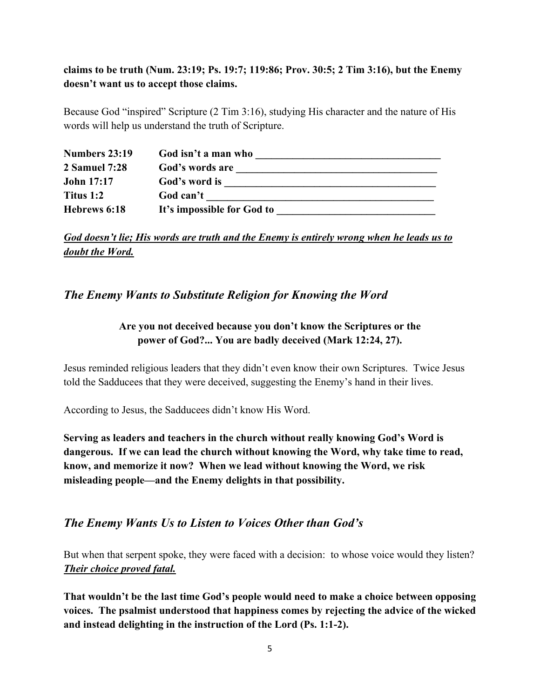#### **claims to be truth (Num. 23:19; Ps. 19:7; 119:86; Prov. 30:5; 2 Tim 3:16), but the Enemy doesn't want us to accept those claims.**

Because God "inspired" Scripture (2 Tim 3:16), studying His character and the nature of His words will help us understand the truth of Scripture.

| Numbers 23:19     | God isn't a man who        |
|-------------------|----------------------------|
| 2 Samuel 7:28     | God's words are            |
| <b>John 17:17</b> | God's word is              |
| Titus 1:2         | God can't                  |
| Hebrews 6:18      | It's impossible for God to |

*God doesn't lie; His words are truth and the Enemy is entirely wrong when he leads us to doubt the Word.*

#### *The Enemy Wants to Substitute Religion for Knowing the Word*

#### **Are you not deceived because you don't know the Scriptures or the power of God?... You are badly deceived (Mark 12:24, 27).**

Jesus reminded religious leaders that they didn't even know their own Scriptures. Twice Jesus told the Sadducees that they were deceived, suggesting the Enemy's hand in their lives.

According to Jesus, the Sadducees didn't know His Word.

**Serving as leaders and teachers in the church without really knowing God's Word is dangerous. If we can lead the church without knowing the Word, why take time to read, know, and memorize it now? When we lead without knowing the Word, we risk misleading people—and the Enemy delights in that possibility.**

#### *The Enemy Wants Us to Listen to Voices Other than God's*

But when that serpent spoke, they were faced with a decision: to whose voice would they listen? *Their choice proved fatal.*

**That wouldn't be the last time God's people would need to make a choice between opposing voices. The psalmist understood that happiness comes by rejecting the advice of the wicked and instead delighting in the instruction of the Lord (Ps. 1:1-2).**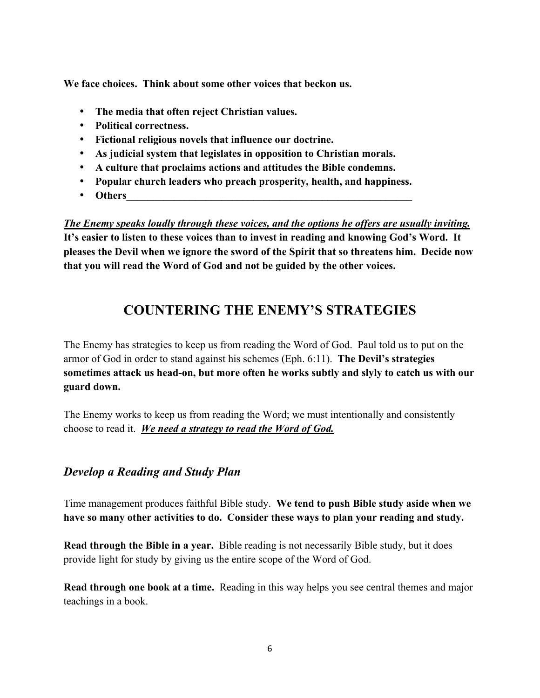**We face choices. Think about some other voices that beckon us.**

- **The media that often reject Christian values.**
- **Political correctness.**
- **Fictional religious novels that influence our doctrine.**
- **As judicial system that legislates in opposition to Christian morals.**
- **A culture that proclaims actions and attitudes the Bible condemns.**
- **Popular church leaders who preach prosperity, health, and happiness.**
- Others

*The Enemy speaks loudly through these voices, and the options he offers are usually inviting.*  **It's easier to listen to these voices than to invest in reading and knowing God's Word. It pleases the Devil when we ignore the sword of the Spirit that so threatens him. Decide now that you will read the Word of God and not be guided by the other voices.**

# **COUNTERING THE ENEMY'S STRATEGIES**

The Enemy has strategies to keep us from reading the Word of God. Paul told us to put on the armor of God in order to stand against his schemes (Eph. 6:11). **The Devil's strategies sometimes attack us head-on, but more often he works subtly and slyly to catch us with our guard down.** 

The Enemy works to keep us from reading the Word; we must intentionally and consistently choose to read it. *We need a strategy to read the Word of God.*

#### *Develop a Reading and Study Plan*

Time management produces faithful Bible study. **We tend to push Bible study aside when we have so many other activities to do. Consider these ways to plan your reading and study.**

**Read through the Bible in a year.** Bible reading is not necessarily Bible study, but it does provide light for study by giving us the entire scope of the Word of God.

**Read through one book at a time.** Reading in this way helps you see central themes and major teachings in a book.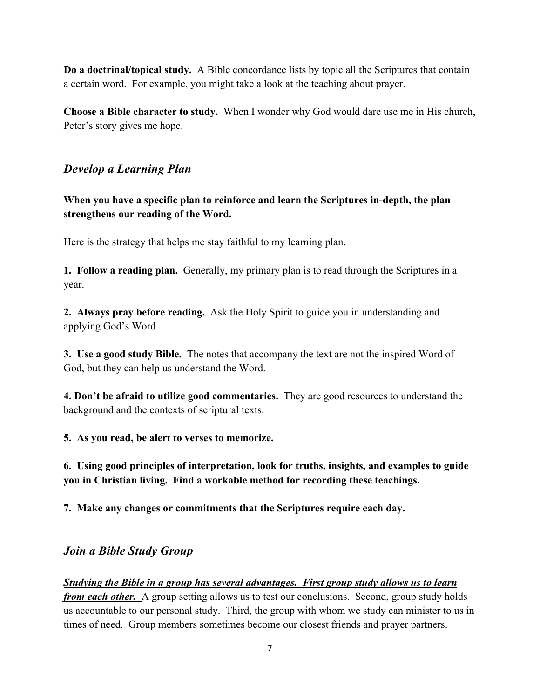**Do a doctrinal/topical study.** A Bible concordance lists by topic all the Scriptures that contain a certain word. For example, you might take a look at the teaching about prayer.

**Choose a Bible character to study.** When I wonder why God would dare use me in His church, Peter's story gives me hope.

#### *Develop a Learning Plan*

**When you have a specific plan to reinforce and learn the Scriptures in-depth, the plan strengthens our reading of the Word.** 

Here is the strategy that helps me stay faithful to my learning plan.

**1. Follow a reading plan.** Generally, my primary plan is to read through the Scriptures in a year.

**2. Always pray before reading.** Ask the Holy Spirit to guide you in understanding and applying God's Word.

**3. Use a good study Bible.** The notes that accompany the text are not the inspired Word of God, but they can help us understand the Word.

**4. Don't be afraid to utilize good commentaries.** They are good resources to understand the background and the contexts of scriptural texts.

**5. As you read, be alert to verses to memorize.**

**6. Using good principles of interpretation, look for truths, insights, and examples to guide you in Christian living. Find a workable method for recording these teachings.**

**7. Make any changes or commitments that the Scriptures require each day.** 

#### *Join a Bible Study Group*

*Studying the Bible in a group has several advantages. First group study allows us to learn from each other.* A group setting allows us to test our conclusions. Second, group study holds us accountable to our personal study. Third, the group with whom we study can minister to us in times of need. Group members sometimes become our closest friends and prayer partners.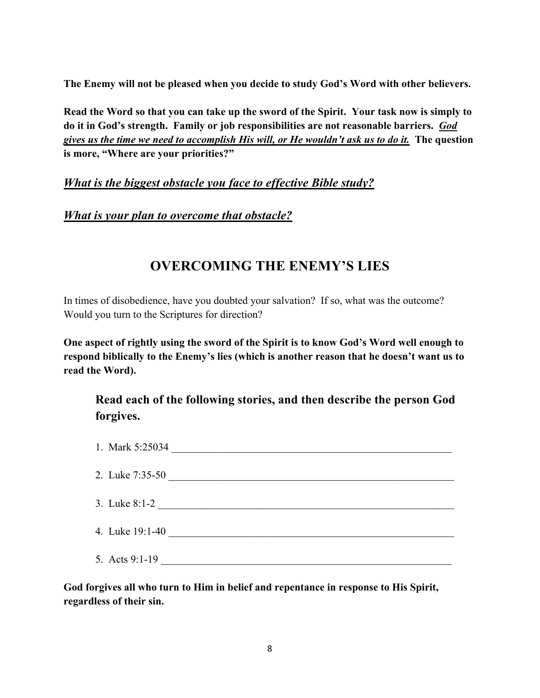**The Enemy will not be pleased when you decide to study God's Word with other believers.**

**Read the Word so that you can take up the sword of the Spirit. Your task now is simply to do it in God's strength. Family or job responsibilities are not reasonable barriers.** *God gives us the time we need to accomplish His will, or He wouldn't ask us to do it.* **The question is more, "Where are your priorities?"**

#### *What is the biggest obstacle you face to effective Bible study?*

*What is your plan to overcome that obstacle?*

# **OVERCOMING THE ENEMY'S LIES**

In times of disobedience, have you doubted your salvation? If so, what was the outcome? Would you turn to the Scriptures for direction?

**One aspect of rightly using the sword of the Spirit is to know God's Word well enough to respond biblically to the Enemy's lies (which is another reason that he doesn't want us to read the Word).** 

**Read each of the following stories, and then describe the person God forgives.**

| 1. Mark 5:25034 |
|-----------------|
| 2. Luke 7:35-50 |
| 3. Luke 8:1-2   |
| 4. Luke 19:1-40 |
| 5. Acts 9:1-19  |

**God forgives all who turn to Him in belief and repentance in response to His Spirit, regardless of their sin.**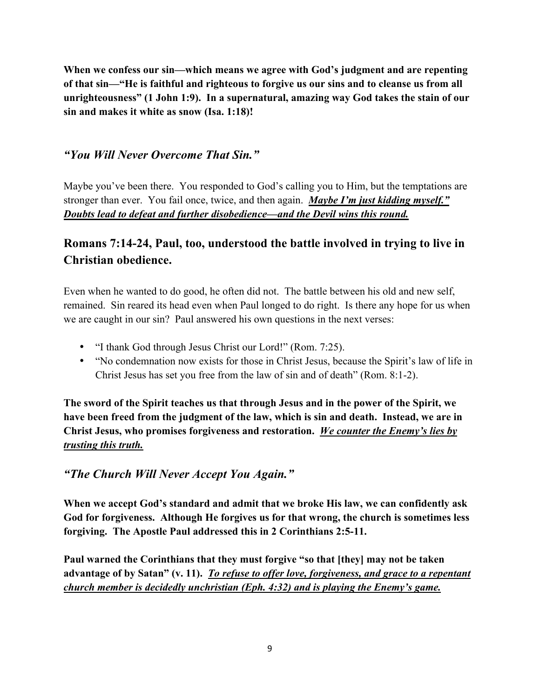**When we confess our sin—which means we agree with God's judgment and are repenting of that sin—"He is faithful and righteous to forgive us our sins and to cleanse us from all unrighteousness" (1 John 1:9). In a supernatural, amazing way God takes the stain of our sin and makes it white as snow (Isa. 1:18)!**

#### *"You Will Never Overcome That Sin."*

Maybe you've been there. You responded to God's calling you to Him, but the temptations are stronger than ever. You fail once, twice, and then again. *Maybe I'm just kidding myself." Doubts lead to defeat and further disobedience—and the Devil wins this round.*

## **Romans 7:14-24, Paul, too, understood the battle involved in trying to live in Christian obedience.**

Even when he wanted to do good, he often did not. The battle between his old and new self, remained. Sin reared its head even when Paul longed to do right. Is there any hope for us when we are caught in our sin? Paul answered his own questions in the next verses:

- "I thank God through Jesus Christ our Lord!" (Rom. 7:25).
- "No condemnation now exists for those in Christ Jesus, because the Spirit's law of life in Christ Jesus has set you free from the law of sin and of death" (Rom. 8:1-2).

**The sword of the Spirit teaches us that through Jesus and in the power of the Spirit, we have been freed from the judgment of the law, which is sin and death. Instead, we are in Christ Jesus, who promises forgiveness and restoration.** *We counter the Enemy's lies by trusting this truth.*

#### *"The Church Will Never Accept You Again."*

**When we accept God's standard and admit that we broke His law, we can confidently ask God for forgiveness. Although He forgives us for that wrong, the church is sometimes less forgiving. The Apostle Paul addressed this in 2 Corinthians 2:5-11.**

**Paul warned the Corinthians that they must forgive "so that [they] may not be taken advantage of by Satan" (v. 11).** *To refuse to offer love, forgiveness, and grace to a repentant church member is decidedly unchristian (Eph. 4:32) and is playing the Enemy's game.*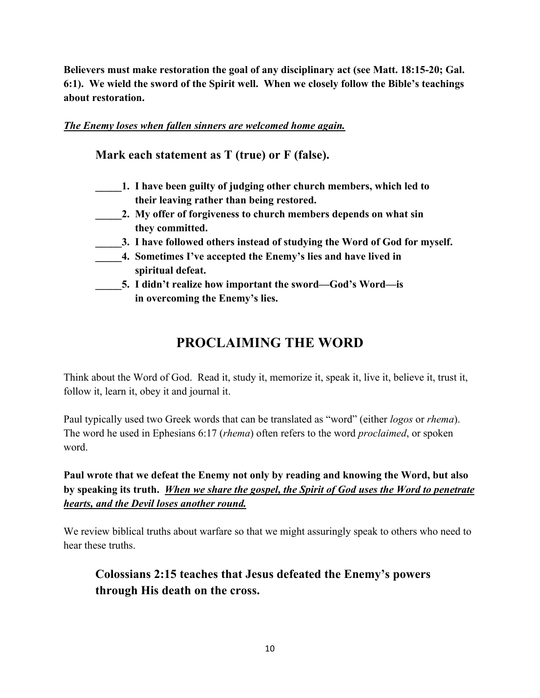**Believers must make restoration the goal of any disciplinary act (see Matt. 18:15-20; Gal. 6:1). We wield the sword of the Spirit well. When we closely follow the Bible's teachings about restoration.**

#### *The Enemy loses when fallen sinners are welcomed home again.*

**Mark each statement as T (true) or F (false).**

- **\_\_\_\_\_1. I have been guilty of judging other church members, which led to their leaving rather than being restored.**
	- **\_\_\_\_\_2. My offer of forgiveness to church members depends on what sin they committed.**
- **\_\_\_\_\_3. I have followed others instead of studying the Word of God for myself.**
- **\_\_\_\_\_4. Sometimes I've accepted the Enemy's lies and have lived in spiritual defeat.**
- **\_\_\_\_\_5. I didn't realize how important the sword—God's Word—is in overcoming the Enemy's lies.**

# **PROCLAIMING THE WORD**

Think about the Word of God. Read it, study it, memorize it, speak it, live it, believe it, trust it, follow it, learn it, obey it and journal it.

Paul typically used two Greek words that can be translated as "word" (either *logos* or *rhema*). The word he used in Ephesians 6:17 (*rhema*) often refers to the word *proclaimed*, or spoken word.

**Paul wrote that we defeat the Enemy not only by reading and knowing the Word, but also by speaking its truth.** *When we share the gospel, the Spirit of God uses the Word to penetrate hearts, and the Devil loses another round.*

We review biblical truths about warfare so that we might assuringly speak to others who need to hear these truths

**Colossians 2:15 teaches that Jesus defeated the Enemy's powers through His death on the cross.**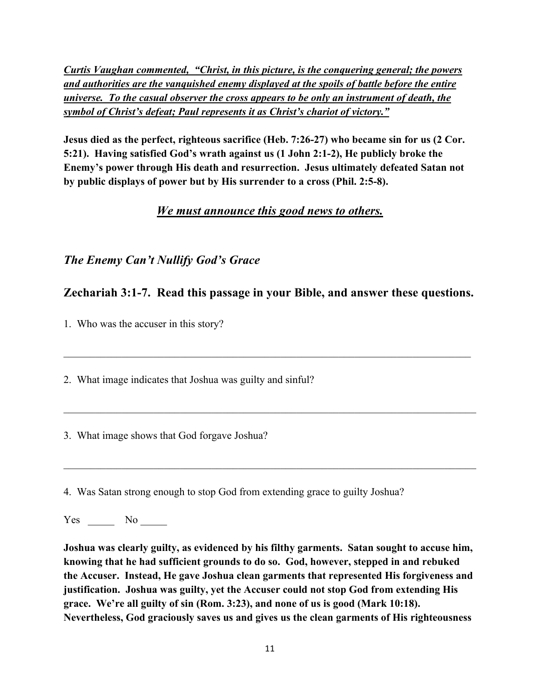*Curtis Vaughan commented, "Christ, in this picture, is the conquering general; the powers and authorities are the vanquished enemy displayed at the spoils of battle before the entire universe. To the casual observer the cross appears to be only an instrument of death, the symbol of Christ's defeat; Paul represents it as Christ's chariot of victory."*

**Jesus died as the perfect, righteous sacrifice (Heb. 7:26-27) who became sin for us (2 Cor. 5:21). Having satisfied God's wrath against us (1 John 2:1-2), He publicly broke the Enemy's power through His death and resurrection. Jesus ultimately defeated Satan not by public displays of power but by His surrender to a cross (Phil. 2:5-8).**

#### *We must announce this good news to others.*

## *The Enemy Can't Nullify God's Grace*

## **Zechariah 3:1-7. Read this passage in your Bible, and answer these questions.**

 $\mathcal{L}_\mathcal{L} = \{ \mathcal{L}_\mathcal{L} = \{ \mathcal{L}_\mathcal{L} = \{ \mathcal{L}_\mathcal{L} = \{ \mathcal{L}_\mathcal{L} = \{ \mathcal{L}_\mathcal{L} = \{ \mathcal{L}_\mathcal{L} = \{ \mathcal{L}_\mathcal{L} = \{ \mathcal{L}_\mathcal{L} = \{ \mathcal{L}_\mathcal{L} = \{ \mathcal{L}_\mathcal{L} = \{ \mathcal{L}_\mathcal{L} = \{ \mathcal{L}_\mathcal{L} = \{ \mathcal{L}_\mathcal{L} = \{ \mathcal{L}_\mathcal{$ 

 $\mathcal{L}_\mathcal{L} = \{ \mathcal{L}_\mathcal{L} = \{ \mathcal{L}_\mathcal{L} = \{ \mathcal{L}_\mathcal{L} = \{ \mathcal{L}_\mathcal{L} = \{ \mathcal{L}_\mathcal{L} = \{ \mathcal{L}_\mathcal{L} = \{ \mathcal{L}_\mathcal{L} = \{ \mathcal{L}_\mathcal{L} = \{ \mathcal{L}_\mathcal{L} = \{ \mathcal{L}_\mathcal{L} = \{ \mathcal{L}_\mathcal{L} = \{ \mathcal{L}_\mathcal{L} = \{ \mathcal{L}_\mathcal{L} = \{ \mathcal{L}_\mathcal{$ 

 $\mathcal{L}_\mathcal{L} = \{ \mathcal{L}_\mathcal{L} = \{ \mathcal{L}_\mathcal{L} = \{ \mathcal{L}_\mathcal{L} = \{ \mathcal{L}_\mathcal{L} = \{ \mathcal{L}_\mathcal{L} = \{ \mathcal{L}_\mathcal{L} = \{ \mathcal{L}_\mathcal{L} = \{ \mathcal{L}_\mathcal{L} = \{ \mathcal{L}_\mathcal{L} = \{ \mathcal{L}_\mathcal{L} = \{ \mathcal{L}_\mathcal{L} = \{ \mathcal{L}_\mathcal{L} = \{ \mathcal{L}_\mathcal{L} = \{ \mathcal{L}_\mathcal{$ 

1. Who was the accuser in this story?

2. What image indicates that Joshua was guilty and sinful?

3. What image shows that God forgave Joshua?

4. Was Satan strong enough to stop God from extending grace to guilty Joshua?

Yes No

**Joshua was clearly guilty, as evidenced by his filthy garments. Satan sought to accuse him, knowing that he had sufficient grounds to do so. God, however, stepped in and rebuked the Accuser. Instead, He gave Joshua clean garments that represented His forgiveness and justification. Joshua was guilty, yet the Accuser could not stop God from extending His grace. We're all guilty of sin (Rom. 3:23), and none of us is good (Mark 10:18). Nevertheless, God graciously saves us and gives us the clean garments of His righteousness**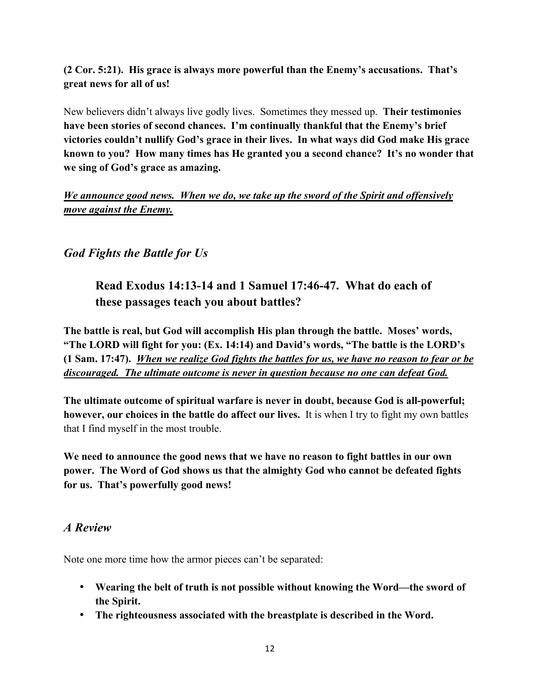#### **(2 Cor. 5:21). His grace is always more powerful than the Enemy's accusations. That's great news for all of us!**

New believers didn't always live godly lives. Sometimes they messed up. **Their testimonies have been stories of second chances. I'm continually thankful that the Enemy's brief victories couldn't nullify God's grace in their lives. In what ways did God make His grace known to you? How many times has He granted you a second chance? It's no wonder that we sing of God's grace as amazing.**

*We announce good news. When we do, we take up the sword of the Spirit and offensively move against the Enemy.*

#### *God Fights the Battle for Us*

## **Read Exodus 14:13-14 and 1 Samuel 17:46-47. What do each of these passages teach you about battles?**

**The battle is real, but God will accomplish His plan through the battle. Moses' words, "The LORD will fight for you: (Ex. 14:14) and David's words, "The battle is the LORD's (1 Sam. 17:47).** *When we realize God fights the battles for us, we have no reason to fear or be discouraged. The ultimate outcome is never in question because no one can defeat God.* 

**The ultimate outcome of spiritual warfare is never in doubt, because God is all-powerful; however, our choices in the battle do affect our lives.** It is when I try to fight my own battles that I find myself in the most trouble.

**We need to announce the good news that we have no reason to fight battles in our own power. The Word of God shows us that the almighty God who cannot be defeated fights for us. That's powerfully good news!**

#### *A Review*

Note one more time how the armor pieces can't be separated:

- **Wearing the belt of truth is not possible without knowing the Word—the sword of the Spirit.**
- **The righteousness associated with the breastplate is described in the Word.**